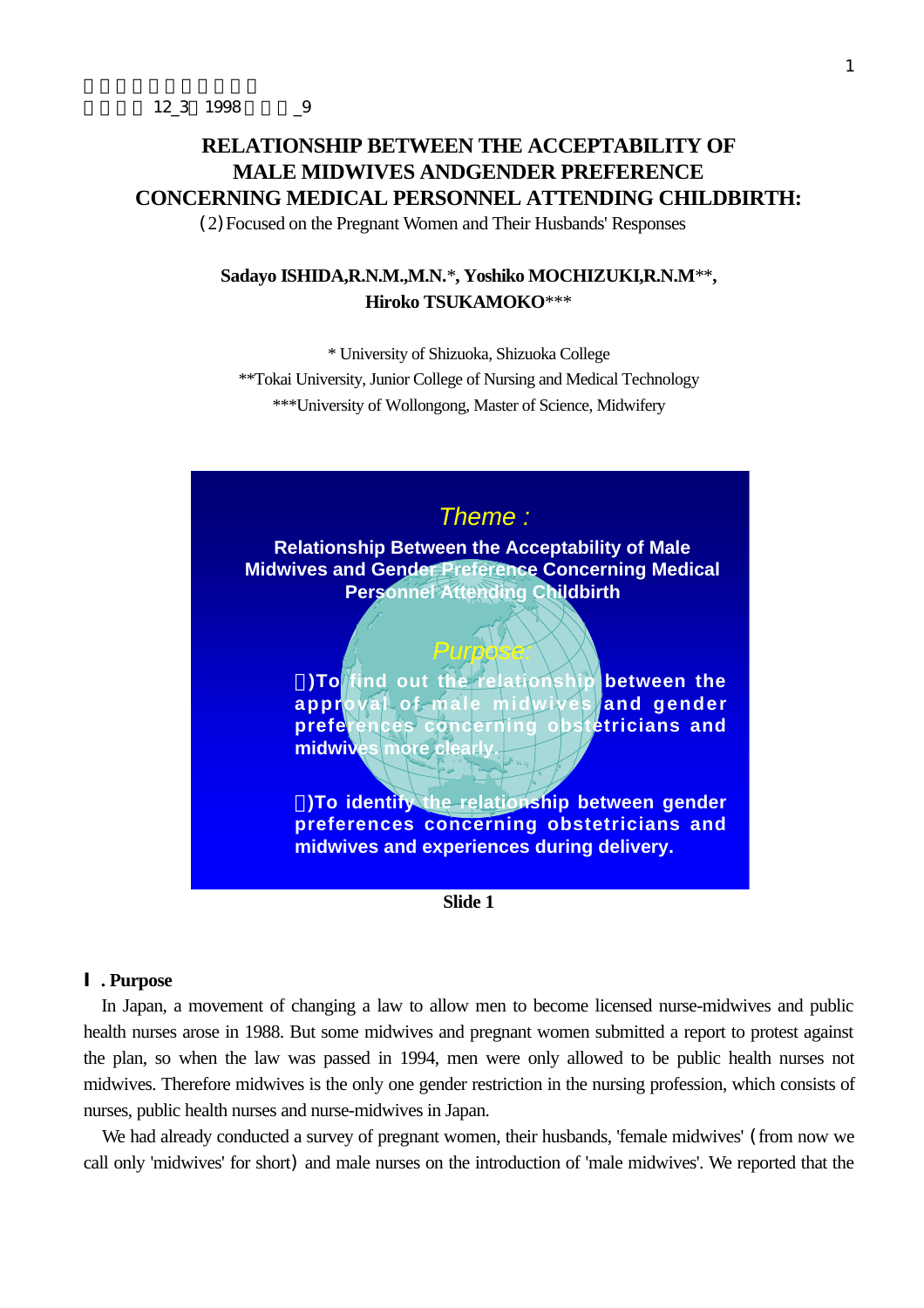# **RELATIONSHIP BETWEEN THE ACCEPTABILITY OF MALE MIDWIVES ANDGENDER PREFERENCE CONCERNING MEDICAL PERSONNEL ATTENDING CHILDBIRTH:**

(2)Focused on the Pregnant Women and Their Husbands' Responses

## **Sadayo ISHIDA,R.N.M.,M.N.**\***, Yoshiko MOCHIZUKI,R.N.M**\*\***, Hiroko TSUKAMOKO**\*\*\*

\* University of Shizuoka, Shizuoka College \*\*Tokai University, Junior College of Nursing and Medical Technology \*\*\*University of Wollongong, Master of Science, Midwifery





### **. Purpose**

 In Japan, a movement of changing a law to allow men to become licensed nurse-midwives and public health nurses arose in 1988. But some midwives and pregnant women submitted a report to protest against the plan, so when the law was passed in 1994, men were only allowed to be public health nurses not midwives. Therefore midwives is the only one gender restriction in the nursing profession, which consists of nurses, public health nurses and nurse-midwives in Japan.

We had already conducted a survey of pregnant women, their husbands, 'female midwives' (from now we call only 'midwives' for short) and male nurses on the introduction of 'male midwives'. We reported that the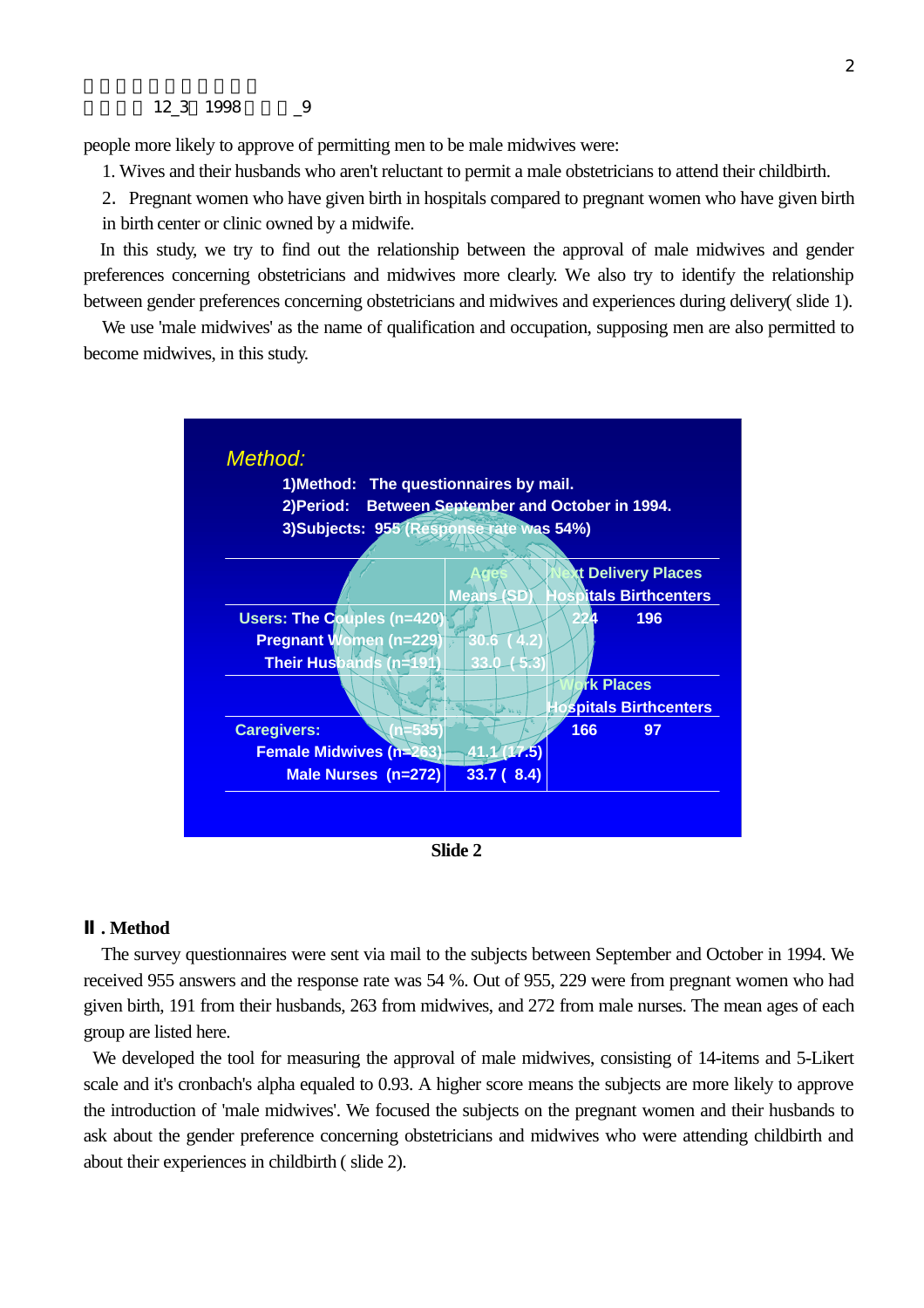$12\_3$  1998  $\_9$ 

people more likely to approve of permitting men to be male midwives were:

1. Wives and their husbands who aren't reluctant to permit a male obstetricians to attend their childbirth.

2. Pregnant women who have given birth in hospitals compared to pregnant women who have given birth in birth center or clinic owned by a midwife.

 In this study, we try to find out the relationship between the approval of male midwives and gender preferences concerning obstetricians and midwives more clearly. We also try to identify the relationship between gender preferences concerning obstetricians and midwives and experiences during delivery( slide 1).

We use 'male midwives' as the name of qualification and occupation, supposing men are also permitted to become midwives, in this study.



**Slide 2**

### **. Method**

 The survey questionnaires were sent via mail to the subjects between September and October in 1994. We received 955 answers and the response rate was 54 %. Out of 955, 229 were from pregnant women who had given birth, 191 from their husbands, 263 from midwives, and 272 from male nurses. The mean ages of each group are listed here.

 We developed the tool for measuring the approval of male midwives, consisting of 14-items and 5-Likert scale and it's cronbach's alpha equaled to 0.93. A higher score means the subjects are more likely to approve the introduction of 'male midwives'. We focused the subjects on the pregnant women and their husbands to ask about the gender preference concerning obstetricians and midwives who were attending childbirth and about their experiences in childbirth ( slide 2).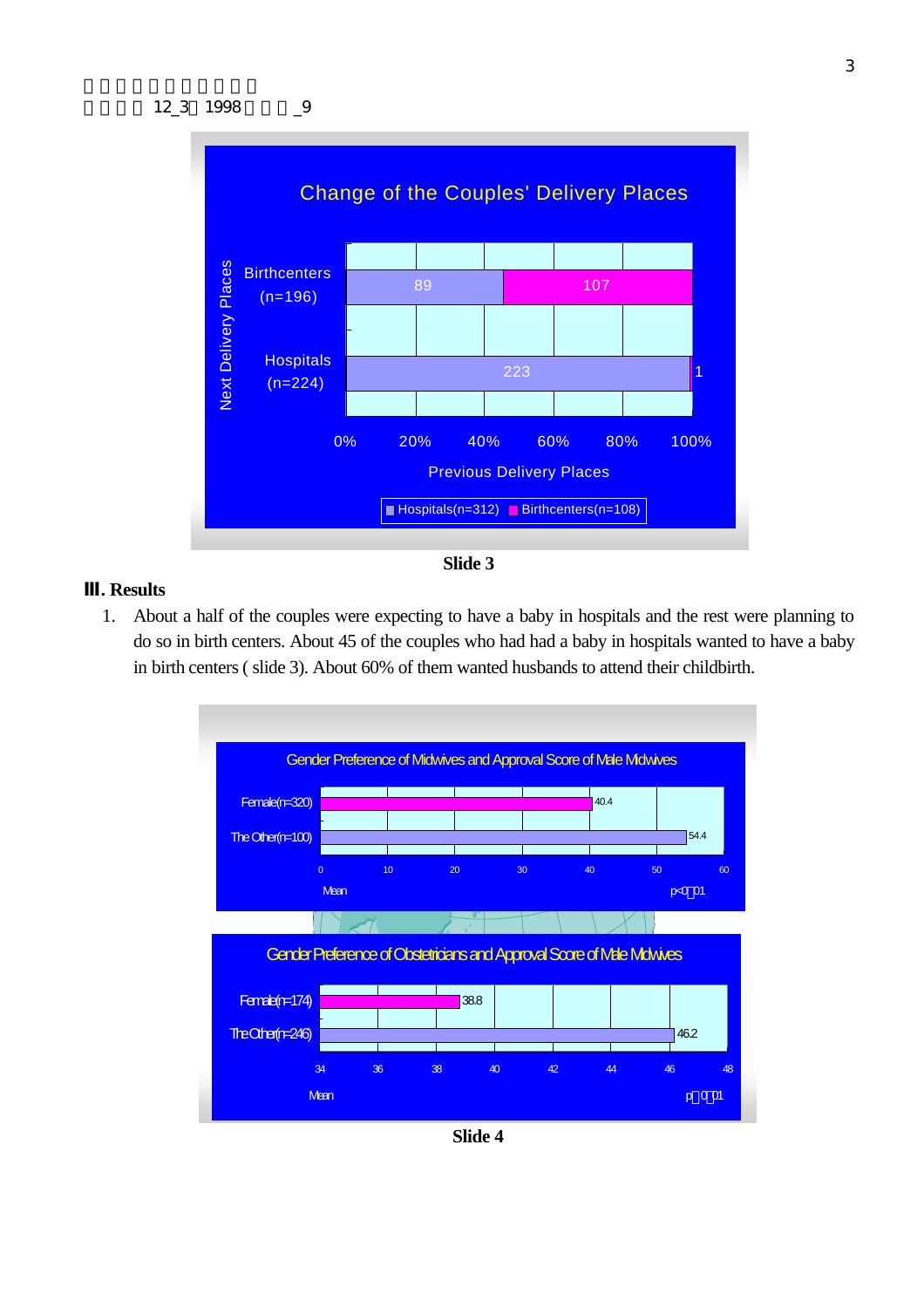



### **. Results**

1. About a half of the couples were expecting to have a baby in hospitals and the rest were planning to do so in birth centers. About 45 of the couples who had had a baby in hospitals wanted to have a baby in birth centers ( slide 3). About 60% of them wanted husbands to attend their childbirth.



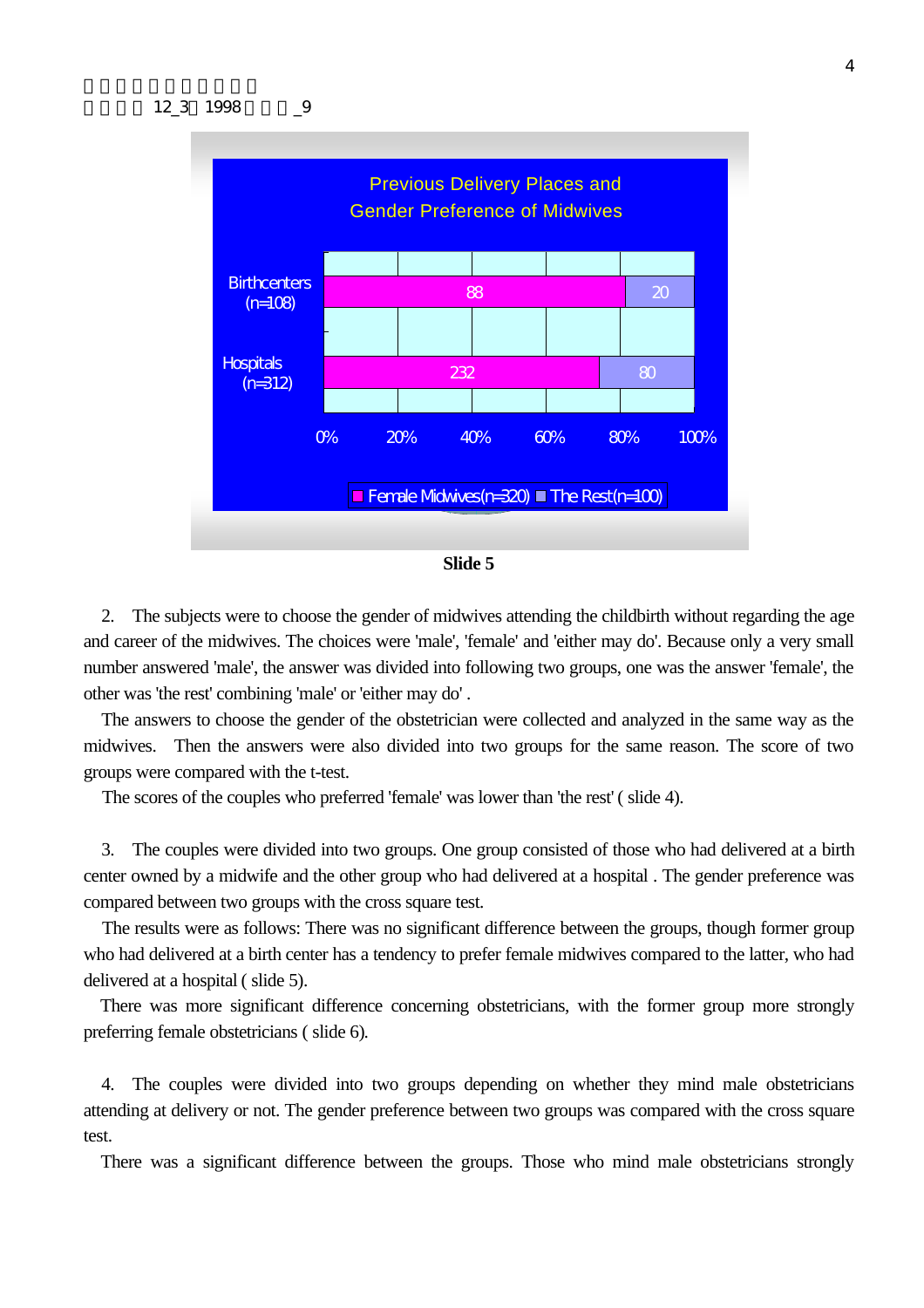

**Slide 5**

 2. The subjects were to choose the gender of midwives attending the childbirth without regarding the age and career of the midwives. The choices were 'male', 'female' and 'either may do'. Because only a very small number answered 'male', the answer was divided into following two groups, one was the answer 'female', the other was 'the rest' combining 'male' or 'either may do' .

 The answers to choose the gender of the obstetrician were collected and analyzed in the same way as the midwives. Then the answers were also divided into two groups for the same reason. The score of two groups were compared with the t-test.

The scores of the couples who preferred 'female' was lower than 'the rest' ( slide 4).

 3. The couples were divided into two groups. One group consisted of those who had delivered at a birth center owned by a midwife and the other group who had delivered at a hospital . The gender preference was compared between two groups with the cross square test.

The results were as follows: There was no significant difference between the groups, though former group who had delivered at a birth center has a tendency to prefer female midwives compared to the latter, who had delivered at a hospital ( slide 5).

 There was more significant difference concerning obstetricians, with the former group more strongly preferring female obstetricians ( slide 6).

 4. The couples were divided into two groups depending on whether they mind male obstetricians attending at delivery or not. The gender preference between two groups was compared with the cross square test.

There was a significant difference between the groups. Those who mind male obstetricians strongly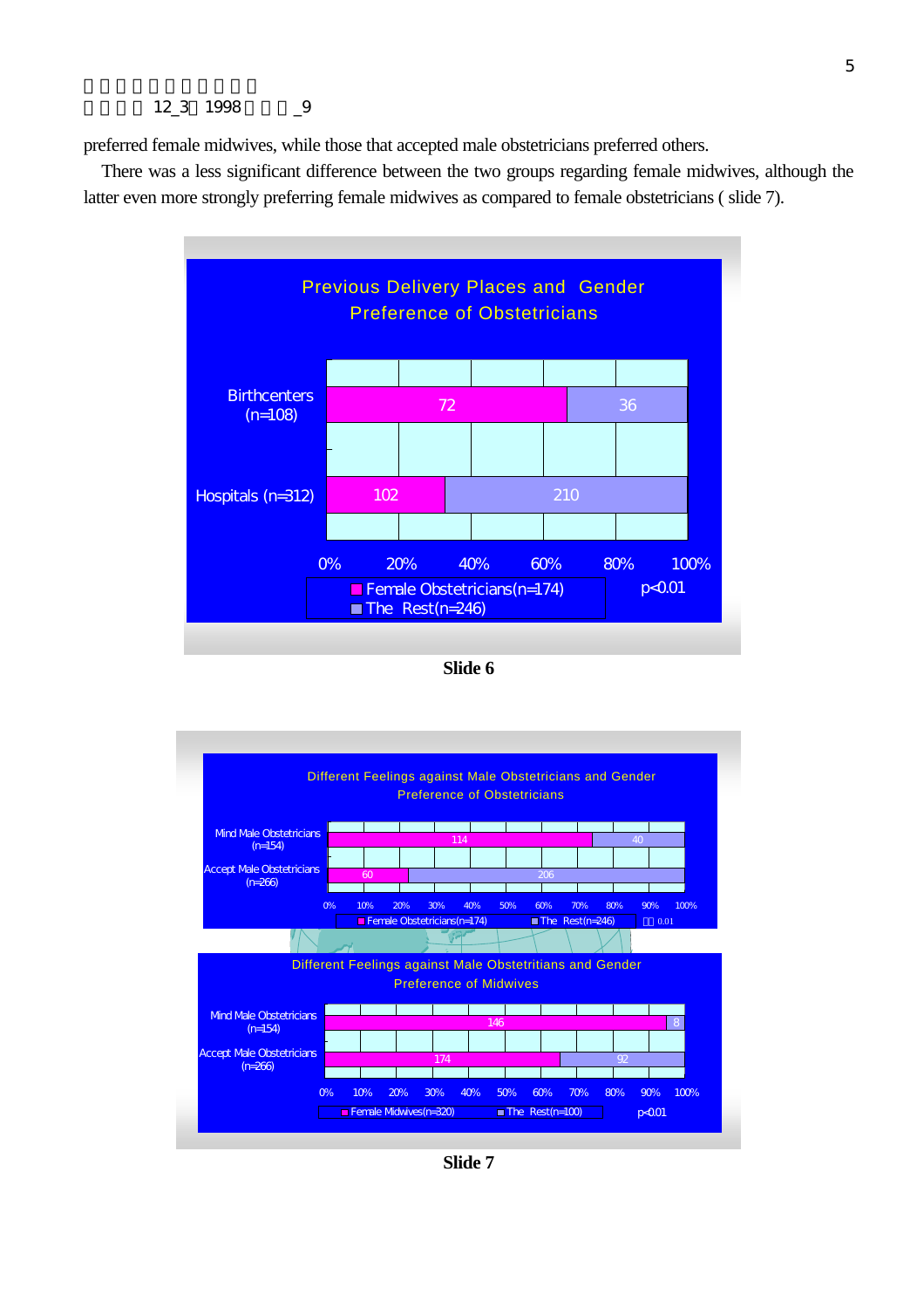### 12\_3 1998  $-9$

preferred female midwives, while those that accepted male obstetricians preferred others.

 There was a less significant difference between the two groups regarding female midwives, although the latter even more strongly preferring female midwives as compared to female obstetricians ( slide 7).



**Slide 6**



**Slide 7**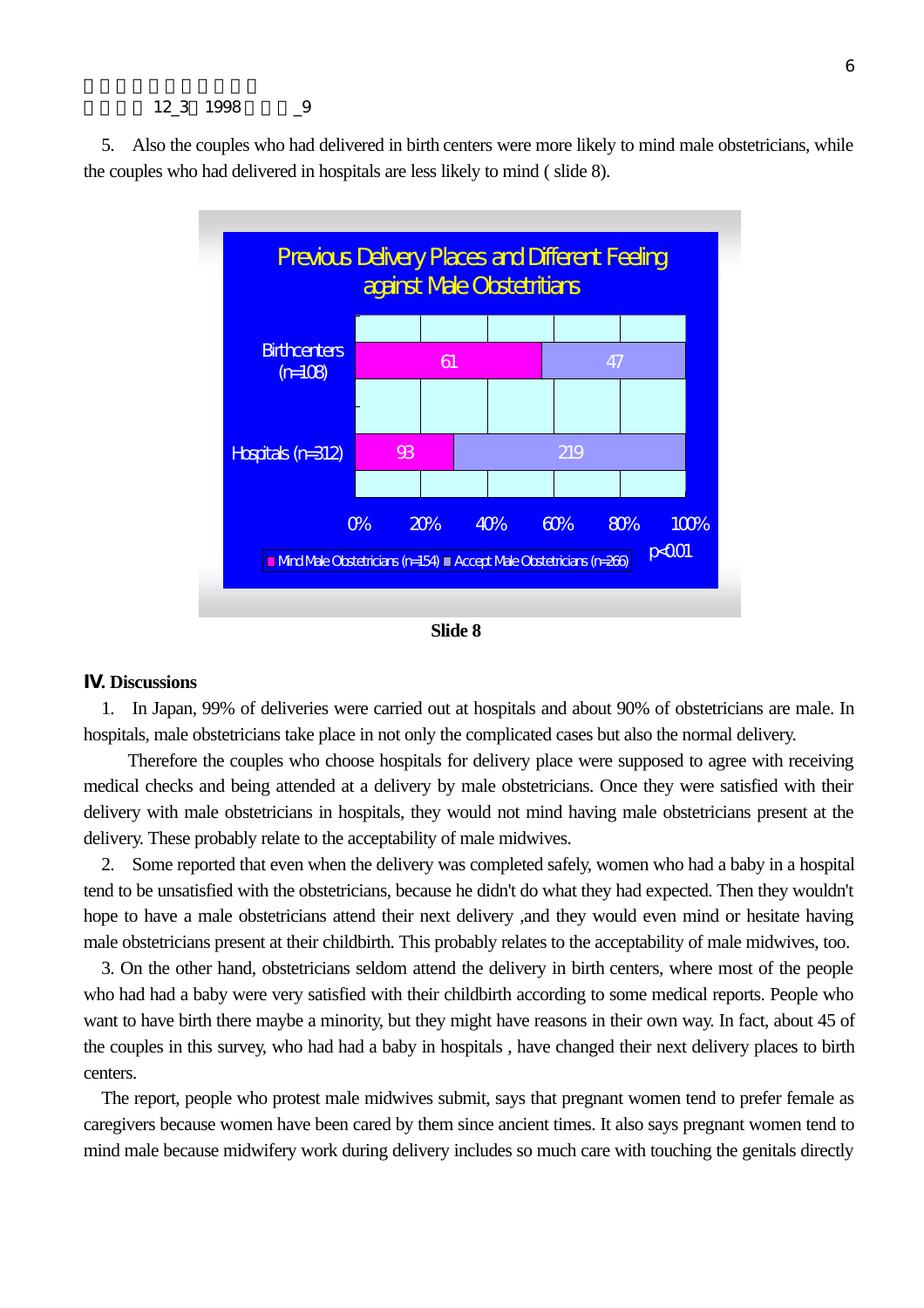$12\_3$  1998  $\_9$ 

 5. Also the couples who had delivered in birth centers were more likely to mind male obstetricians, while the couples who had delivered in hospitals are less likely to mind ( slide 8).





#### **. Discussions**

 1. In Japan, 99% of deliveries were carried out at hospitals and about 90% of obstetricians are male. In hospitals, male obstetricians take place in not only the complicated cases but also the normal delivery.

 Therefore the couples who choose hospitals for delivery place were supposed to agree with receiving medical checks and being attended at a delivery by male obstetricians. Once they were satisfied with their delivery with male obstetricians in hospitals, they would not mind having male obstetricians present at the delivery. These probably relate to the acceptability of male midwives.

 2. Some reported that even when the delivery was completed safely, women who had a baby in a hospital tend to be unsatisfied with the obstetricians, because he didn't do what they had expected. Then they wouldn't hope to have a male obstetricians attend their next delivery , and they would even mind or hesitate having male obstetricians present at their childbirth. This probably relates to the acceptability of male midwives, too.

 3. On the other hand, obstetricians seldom attend the delivery in birth centers, where most of the people who had had a baby were very satisfied with their childbirth according to some medical reports. People who want to have birth there maybe a minority, but they might have reasons in their own way. In fact, about 45 of the couples in this survey, who had had a baby in hospitals , have changed their next delivery places to birth centers.

The report, people who protest male midwives submit, says that pregnant women tend to prefer female as caregivers because women have been cared by them since ancient times. It also says pregnant women tend to mind male because midwifery work during delivery includes so much care with touching the genitals directly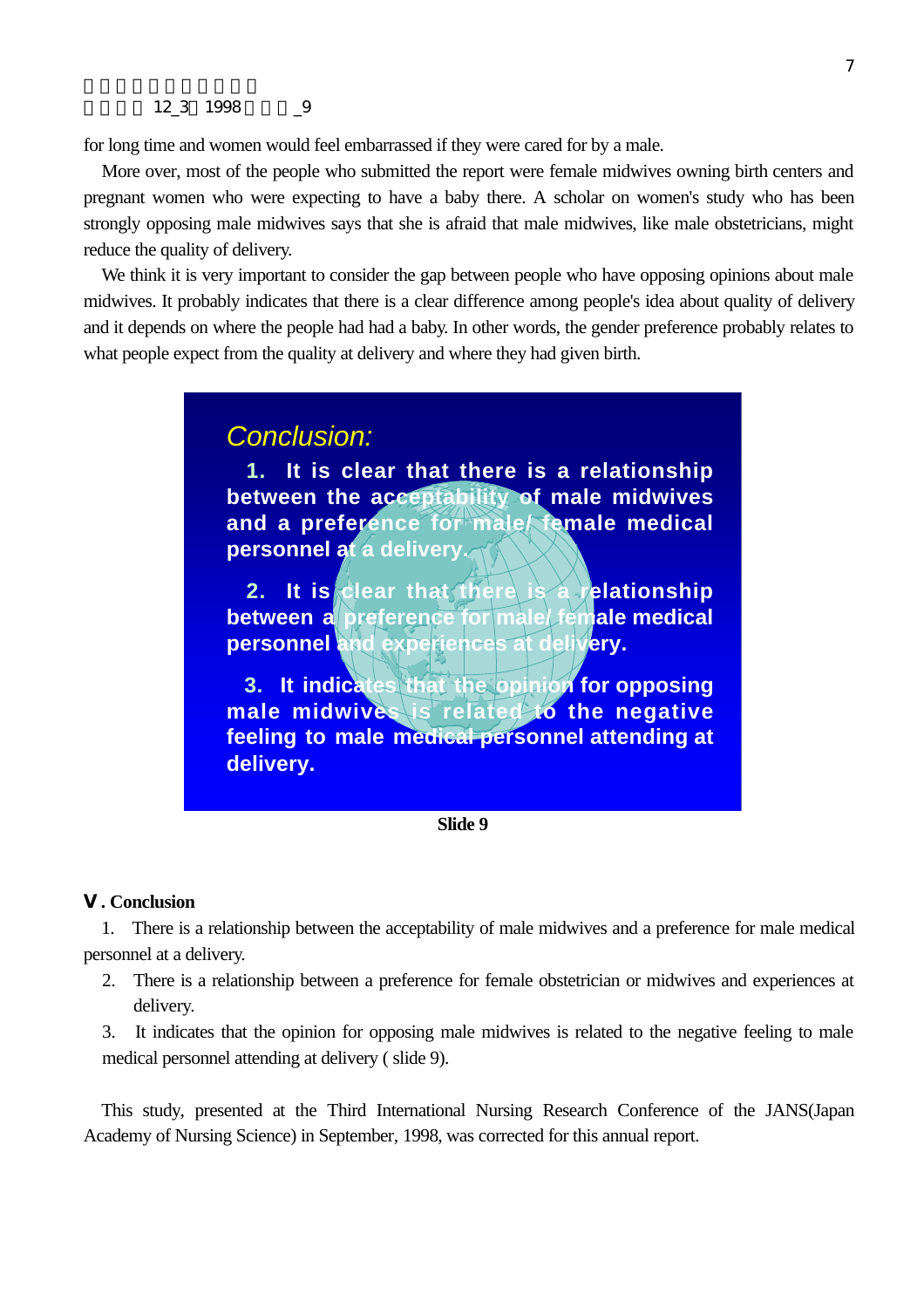for long time and women would feel embarrassed if they were cared for by a male.

 More over, most of the people who submitted the report were female midwives owning birth centers and pregnant women who were expecting to have a baby there. A scholar on women's study who has been strongly opposing male midwives says that she is afraid that male midwives, like male obstetricians, might reduce the quality of delivery.

We think it is very important to consider the gap between people who have opposing opinions about male midwives. It probably indicates that there is a clear difference among people's idea about quality of delivery and it depends on where the people had had a baby. In other words, the gender preference probably relates to what people expect from the quality at delivery and where they had given birth.

# *Conclusion:*

 **1. It is clear that there is a relationship between the acceptability of male midwives and a preference for male/ female medical personnel at a delivery.**

**2. It is clear that there is a relationship between a preference for male/ female medical personnel and experiences at delivery.**

 **3. It indicates that the opinion for opposing male midwives is related to the negative feeling to male medical personnel attending at delivery.**

### **Slide 9**

### **. Conclusion**

 1. There is a relationship between the acceptability of male midwives and a preference for male medical personnel at a delivery.

2. There is a relationship between a preference for female obstetrician or midwives and experiences at delivery.

3. It indicates that the opinion for opposing male midwives is related to the negative feeling to male medical personnel attending at delivery ( slide 9).

This study, presented at the Third International Nursing Research Conference of the JANS(Japan Academy of Nursing Science) in September, 1998, was corrected for this annual report.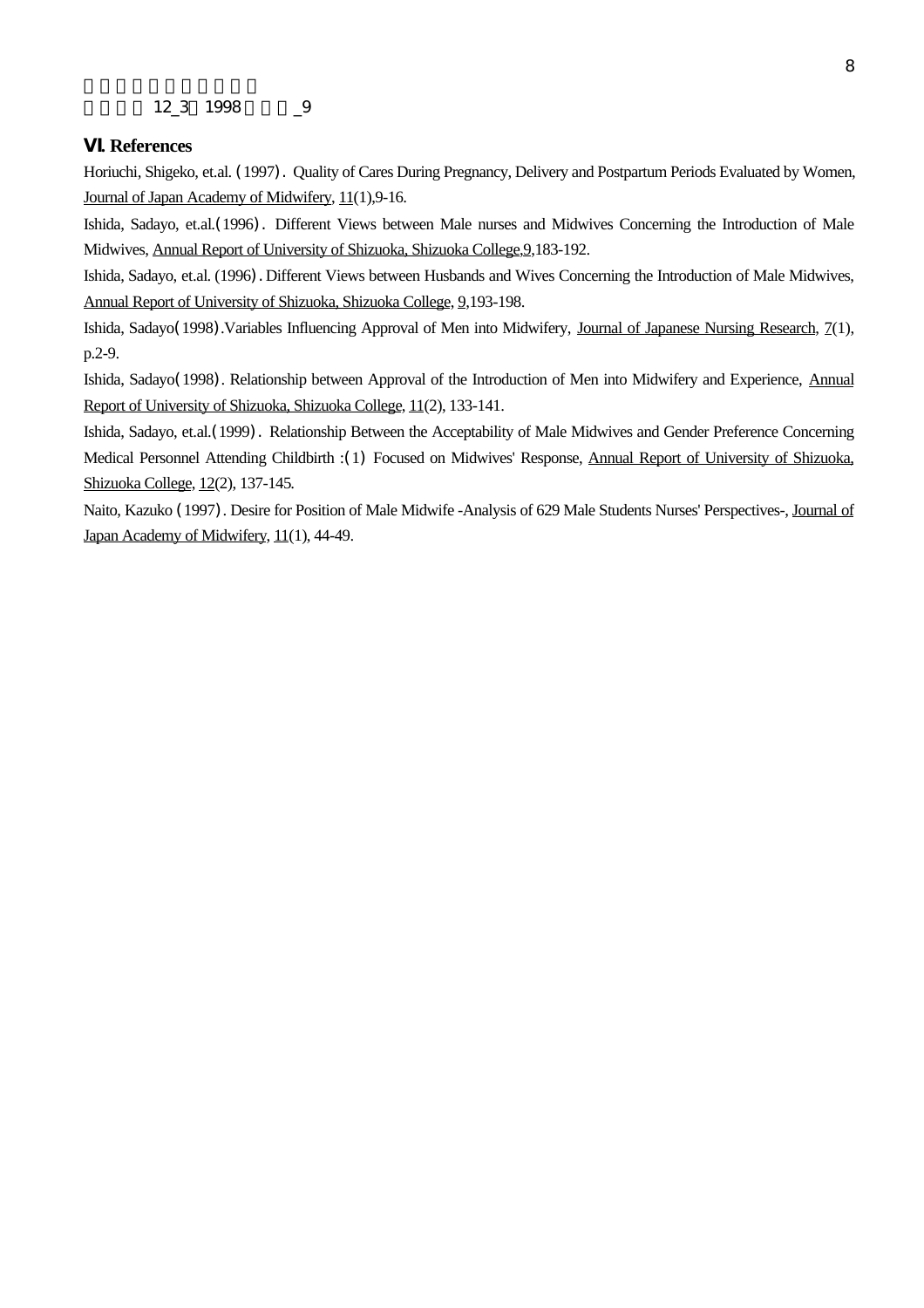12\_3 1998  $-9$ 

### **. References**

Horiuchi, Shigeko, et.al. (1997). Quality of Cares During Pregnancy, Delivery and Postpartum Periods Evaluated by Women, Journal of Japan Academy of Midwifery, 11(1),9-16.

Ishida, Sadayo, et.al.(1996). Different Views between Male nurses and Midwives Concerning the Introduction of Male Midwives, Annual Report of University of Shizuoka, Shizuoka College,9,183-192.

Ishida, Sadayo, et.al. (1996). Different Views between Husbands and Wives Concerning the Introduction of Male Midwives, Annual Report of University of Shizuoka, Shizuoka College, 9,193-198.

Ishida, Sadayo(1998).Variables Influencing Approval of Men into Midwifery, Journal of Japanese Nursing Research, 7(1), p.2-9.

Ishida, Sadayo(1998). Relationship between Approval of the Introduction of Men into Midwifery and Experience, Annual Report of University of Shizuoka, Shizuoka College, 11(2), 133-141.

Ishida, Sadayo, et.al.(1999). Relationship Between the Acceptability of Male Midwives and Gender Preference Concerning Medical Personnel Attending Childbirth :(1) Focused on Midwives' Response, Annual Report of University of Shizuoka, Shizuoka College, 12(2), 137-145.

Naito, Kazuko (1997). Desire for Position of Male Midwife -Analysis of 629 Male Students Nurses' Perspectives-, Journal of Japan Academy of Midwifery, 11(1), 44-49.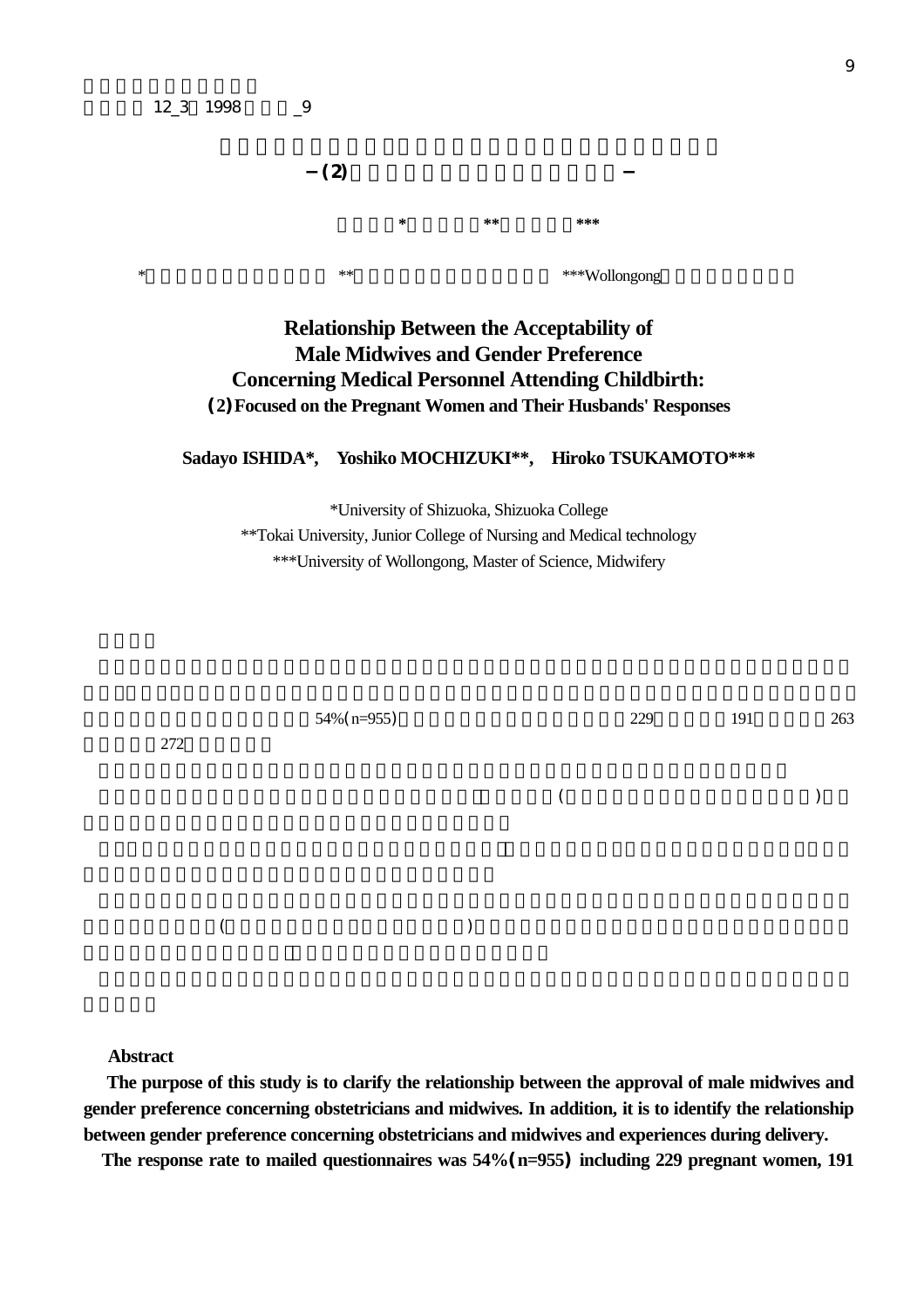|        | 12_3 1998 | $\overline{\phantom{0}}^9$ |            |   |    |               |  |
|--------|-----------|----------------------------|------------|---|----|---------------|--|
|        |           |                            | (2)        |   |    |               |  |
|        |           |                            |            | ∗ | ** | ***           |  |
| $\ast$ |           |                            | $\ast\ast$ |   |    | ***Wollongong |  |

# **Relationship Between the Acceptability of Male Midwives and Gender Preference Concerning Medical Personnel Attending Childbirth:** (**2**)**Focused on the Pregnant Women and Their Husbands' Responses**

## **Sadayo ISHIDA\*, Yoshiko MOCHIZUKI\*\*, Hiroko TSUKAMOTO\*\*\***

\*University of Shizuoka, Shizuoka College \*\*Tokai University, Junior College of Nursing and Medical technology \*\*\*University of Wollongong, Master of Science, Midwifery



### **Abstract**

**The purpose of this study is to clarify the relationship between the approval of male midwives and gender preference concerning obstetricians and midwives. In addition, it is to identify the relationship between gender preference concerning obstetricians and midwives and experiences during delivery.**

 **The response rate to mailed questionnaires was 54%**(**n=955**) **including 229 pregnant women, 191**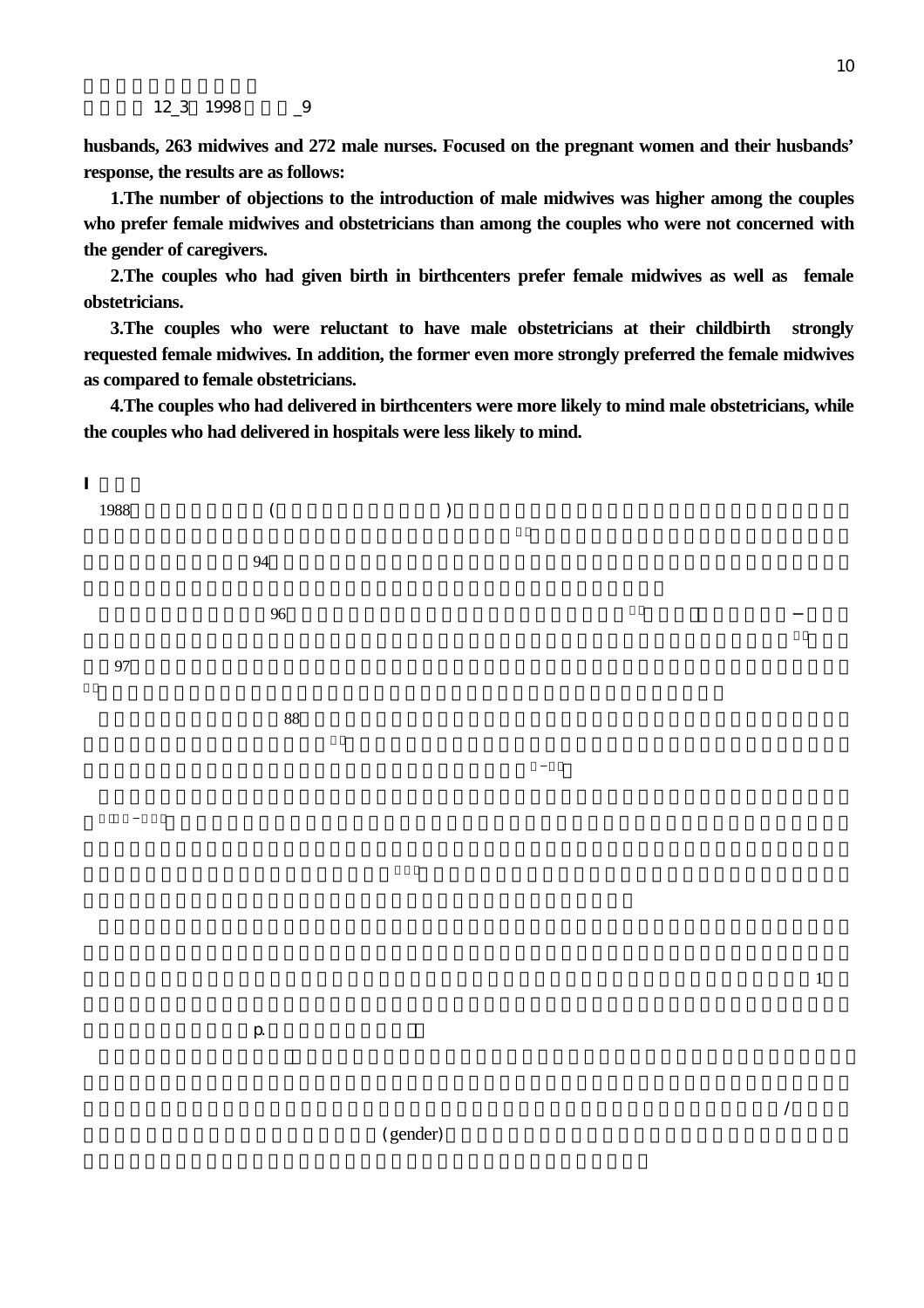12\_3 1998  $-9$ 

**husbands, 263 midwives and 272 male nurses. Focused on the pregnant women and their husbands' response, the results are as follows:**

 **1.The number of objections to the introduction of male midwives was higher among the couples who prefer female midwives and obstetricians than among the couples who were not concerned with the gender of caregivers.**

 **2.The couples who had given birth in birthcenters prefer female midwives as well as female obstetricians.**

 **3.The couples who were reluctant to have male obstetricians at their childbirth strongly requested female midwives. In addition, the former even more strongly preferred the female midwives as compared to female obstetricians.**

 **4.The couples who had delivered in birthcenters were more likely to mind male obstetricians, while the couples who had delivered in hospitals were less likely to mind.**

1988 $($  $94$  $96$  $97$  $88$ 

ができるものと考える p.1,スライド1参照)。

 $\mathbf 1$ 

 $\mathcal{N}$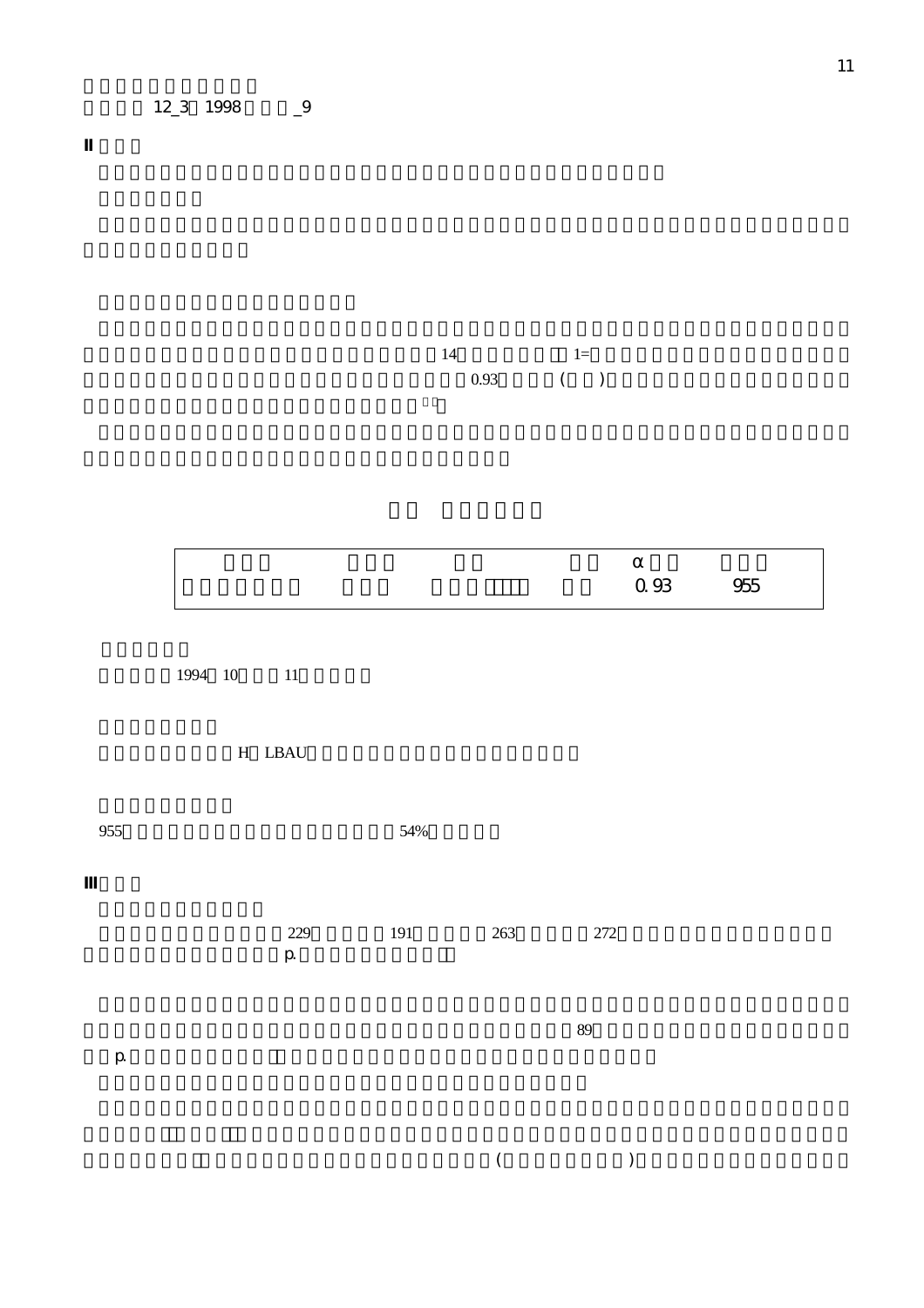

|                   |     |     | $0\,\mathrm{dB}$ | $955\,$ |
|-------------------|-----|-----|------------------|---------|
|                   |     |     |                  |         |
| 1994 10<br>$11\,$ |     |     |                  |         |
|                   |     |     |                  |         |
| H LBAU            |     |     |                  |         |
|                   |     |     |                  |         |
|                   | 54% |     |                  |         |
|                   |     |     |                  |         |
|                   |     |     |                  |         |
| 229               | 191 | 263 | $272\,$          |         |
| $\mathbf{p}$      |     |     |                  |         |
|                   |     |     |                  |         |
|                   |     |     | 89               |         |
|                   |     |     |                  |         |

 $($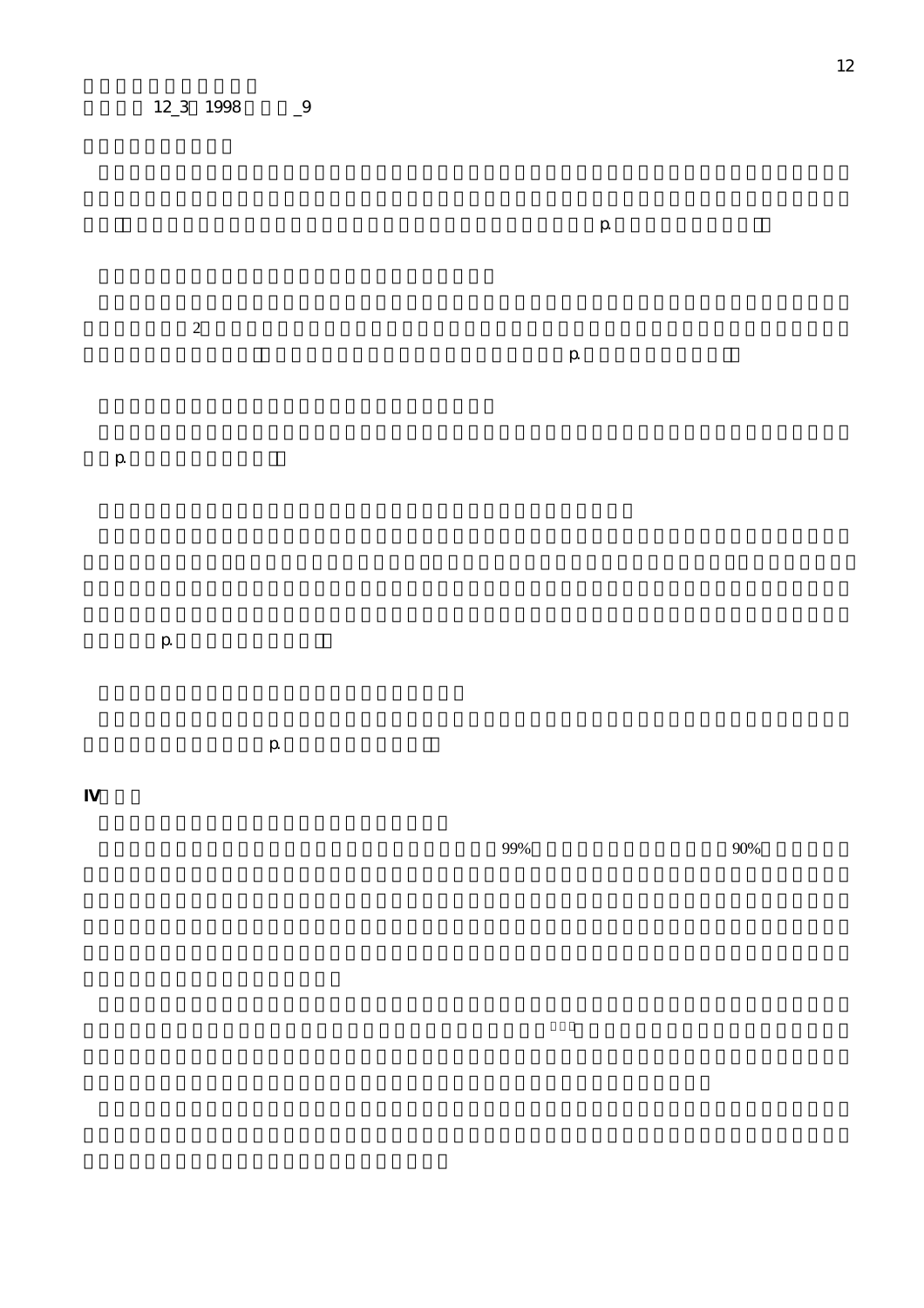$\mathbf p$ 

 $\overline{2}$  ${\bf p}$ 

 $\mathbf{p}$ 

 $p.$ 

 $\mathbf p$ 

 $99\%$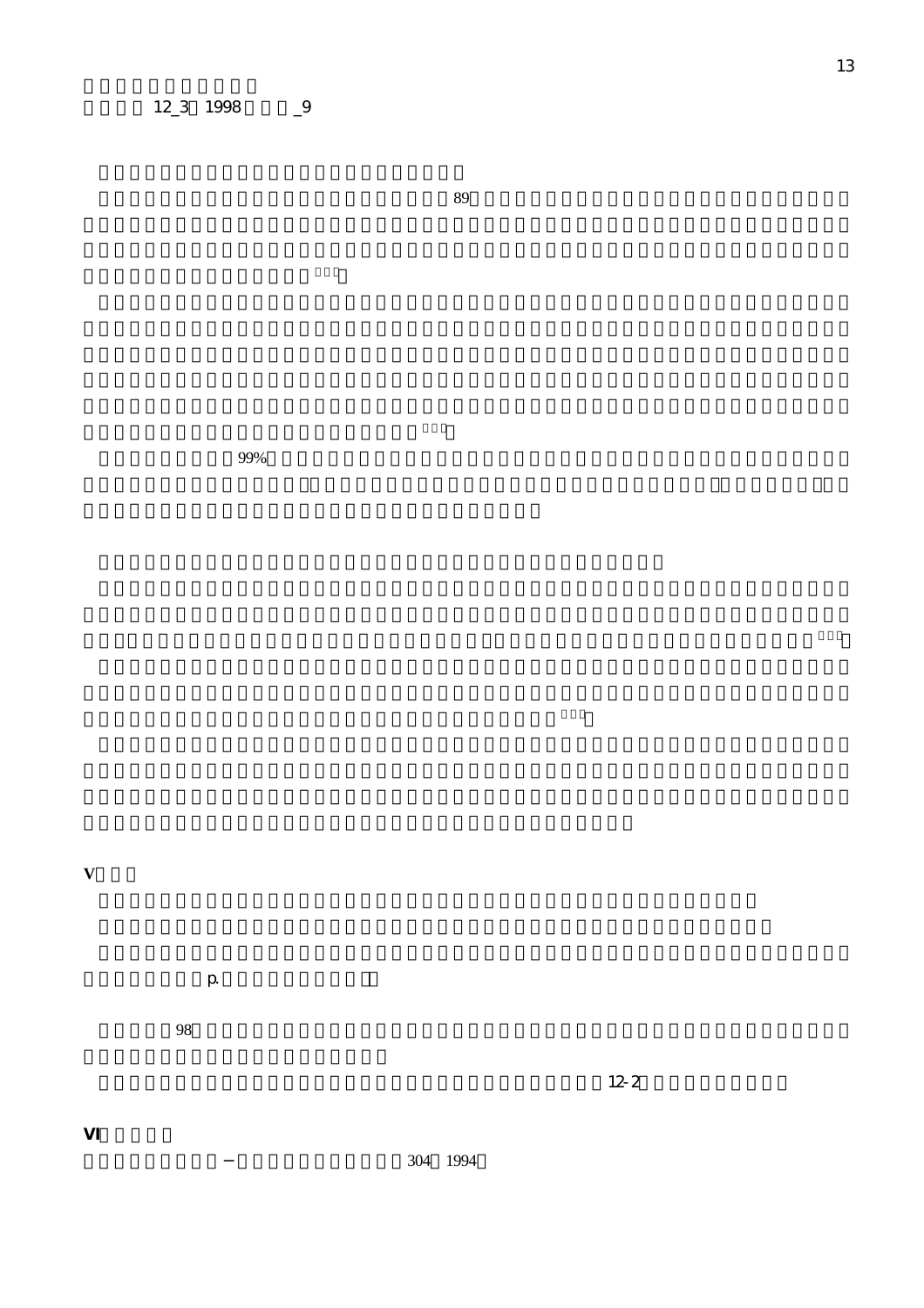$89$ 

 $99\%$ 

**V**.結論

 $p$ 

 $98$ 

 $12-2$